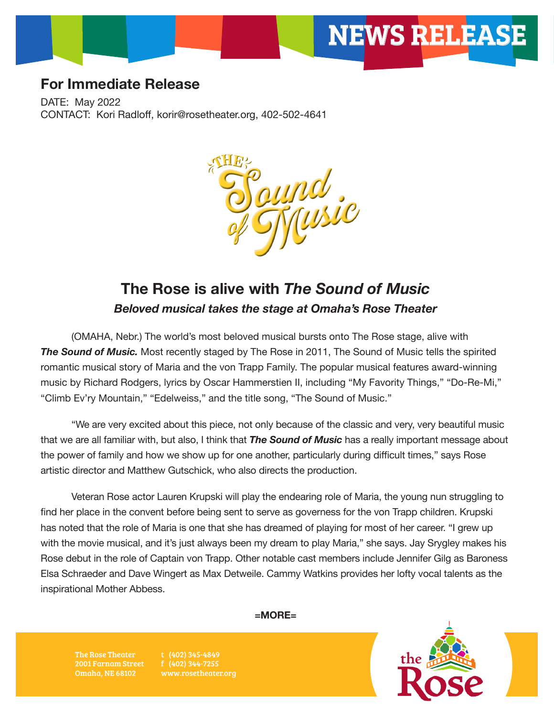

## **For Immediate Release**

DATE: May 2022 CONTACT: Kori Radloff, korir@rosetheater.org, 402-502-4641



# **The Rose is alive with** *The Sound of Music Beloved musical takes the stage at Omaha's Rose Theater*

(OMAHA, Nebr.) The world's most beloved musical bursts onto The Rose stage, alive with **The Sound of Music.** Most recently staged by The Rose in 2011, The Sound of Music tells the spirited romantic musical story of Maria and the von Trapp Family. The popular musical features award-winning music by Richard Rodgers, lyrics by Oscar Hammerstien II, including "My Favority Things," "Do-Re-Mi," "Climb Ev'ry Mountain," "Edelweiss," and the title song, "The Sound of Music."

"We are very excited about this piece, not only because of the classic and very, very beautiful music that we are all familiar with, but also, I think that *The Sound of Music* has a really important message about the power of family and how we show up for one another, particularly during difficult times," says Rose artistic director and Matthew Gutschick, who also directs the production.

Veteran Rose actor Lauren Krupski will play the endearing role of Maria, the young nun struggling to find her place in the convent before being sent to serve as governess for the von Trapp children. Krupski has noted that the role of Maria is one that she has dreamed of playing for most of her career. "I grew up with the movie musical, and it's just always been my dream to play Maria," she says. Jay Srygley makes his Rose debut in the role of Captain von Trapp. Other notable cast members include Jennifer Gilg as Baroness Elsa Schraeder and Dave Wingert as Max Detweile. Cammy Watkins provides her lofty vocal talents as the inspirational Mother Abbess.

**=MORE=**

The Rose Theater 2001 Farnam Street Omaha, NE 68102

t (402) 345-4849 f (402) 344-7255 www.rosetheater.org

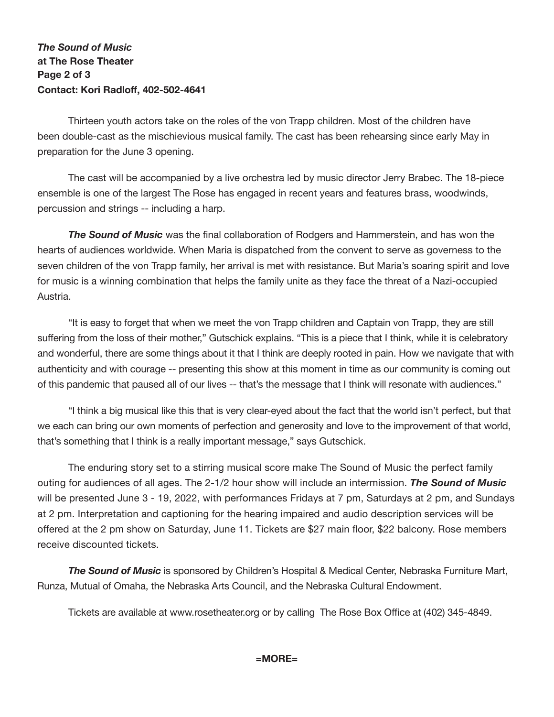## *The Sound of Music* **at The Rose Theater Page 2 of 3 Contact: Kori Radloff, 402-502-4641**

Thirteen youth actors take on the roles of the von Trapp children. Most of the children have been double-cast as the mischievious musical family. The cast has been rehearsing since early May in preparation for the June 3 opening.

The cast will be accompanied by a live orchestra led by music director Jerry Brabec. The 18-piece ensemble is one of the largest The Rose has engaged in recent years and features brass, woodwinds, percussion and strings -- including a harp.

*The Sound of Music* was the final collaboration of Rodgers and Hammerstein, and has won the hearts of audiences worldwide. When Maria is dispatched from the convent to serve as governess to the seven children of the von Trapp family, her arrival is met with resistance. But Maria's soaring spirit and love for music is a winning combination that helps the family unite as they face the threat of a Nazi-occupied Austria.

"It is easy to forget that when we meet the von Trapp children and Captain von Trapp, they are still suffering from the loss of their mother," Gutschick explains. "This is a piece that I think, while it is celebratory and wonderful, there are some things about it that I think are deeply rooted in pain. How we navigate that with authenticity and with courage -- presenting this show at this moment in time as our community is coming out of this pandemic that paused all of our lives -- that's the message that I think will resonate with audiences."

"I think a big musical like this that is very clear-eyed about the fact that the world isn't perfect, but that we each can bring our own moments of perfection and generosity and love to the improvement of that world, that's something that I think is a really important message," says Gutschick.

The enduring story set to a stirring musical score make The Sound of Music the perfect family outing for audiences of all ages. The 2-1/2 hour show will include an intermission. *The Sound of Music* will be presented June 3 - 19, 2022, with performances Fridays at 7 pm, Saturdays at 2 pm, and Sundays at 2 pm. Interpretation and captioning for the hearing impaired and audio description services will be offered at the 2 pm show on Saturday, June 11. Tickets are \$27 main floor, \$22 balcony. Rose members receive discounted tickets.

*The Sound of Music* is sponsored by Children's Hospital & Medical Center, Nebraska Furniture Mart, Runza, Mutual of Omaha, the Nebraska Arts Council, and the Nebraska Cultural Endowment.

Tickets are available at www.rosetheater.org or by calling The Rose Box Office at (402) 345-4849.

### **=MORE=**